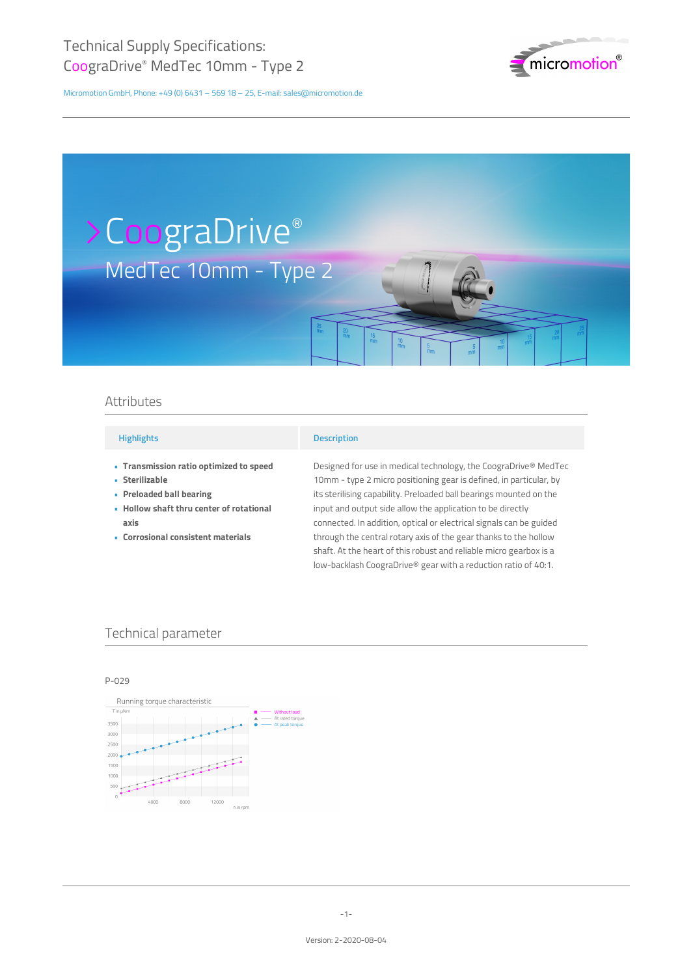

# MedTec 10mm - Type 2 >CoograDrive®

## Attributes

### **Highlights**

- **Transmission ratio optimized to speed •**
- **Sterilizable •**
- **Preloaded ball bearing •**
- **Hollow shaft thru center of rotational • axis**
- **Corrosional consistent materials •**

#### **Description**

Designed for use in medical technology, the CoograDrive® MedTec 10mm - type 2 micro positioning gear is defined, in particular, by its sterilising capability. Preloaded ball bearings mounted on the input and output side allow the application to be directly connected. In addition, optical or electrical signals can be guided through the central rotary axis of the gear thanks to the hollow shaft. At the heart of this robust and reliable micro gearbox is a low-backlash CoograDrive® gear with a reduction ratio of 40:1.

## Technical parameter

P-029

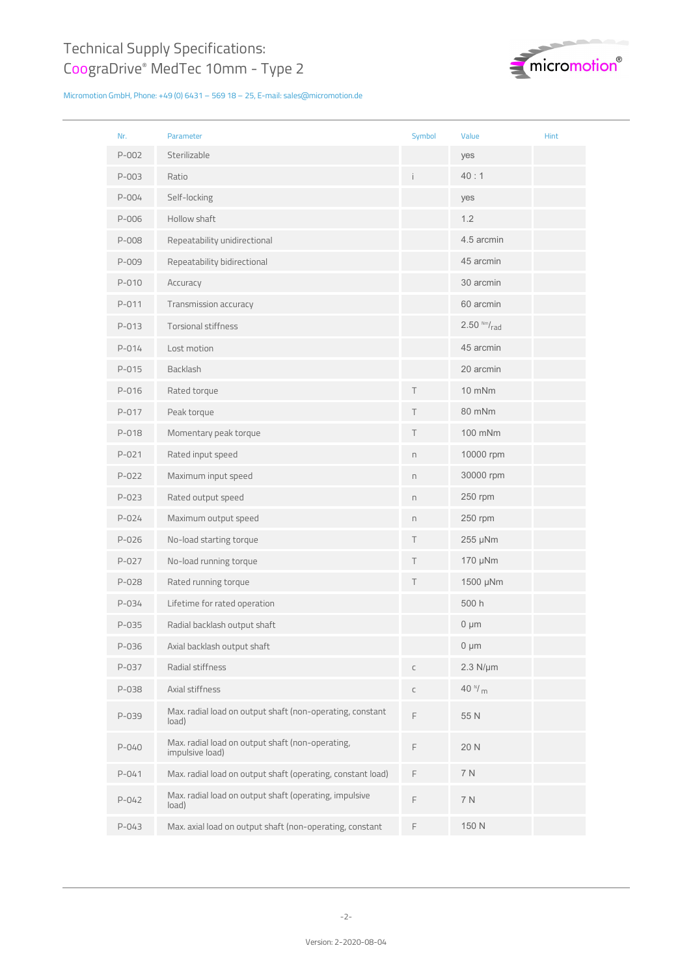

| Nr.       | Parameter                                                           | Symbol                                   | Value               | Hint |
|-----------|---------------------------------------------------------------------|------------------------------------------|---------------------|------|
| P-002     | Sterilizable                                                        |                                          | yes                 |      |
| P-003     | Ratio                                                               |                                          | 40:1                |      |
| $P - 004$ | Self-locking                                                        |                                          | yes                 |      |
| P-006     | Hollow shaft                                                        |                                          | 1.2                 |      |
| P-008     | Repeatability unidirectional                                        |                                          | 4.5 arcmin          |      |
| P-009     | Repeatability bidirectional                                         |                                          | 45 arcmin           |      |
| $P - 010$ | Accuracy                                                            |                                          | 30 arcmin           |      |
| P-011     | Transmission accuracy                                               |                                          | 60 arcmin           |      |
| P-013     | <b>Torsional stiffness</b>                                          |                                          | $2.50$ Nm/ $_{rad}$ |      |
| P-014     | Lost motion                                                         |                                          | 45 arcmin           |      |
| P-015     | Backlash                                                            |                                          | 20 arcmin           |      |
| P-016     | Rated torque                                                        | T                                        | 10 mNm              |      |
| P-017     | Peak torque                                                         | Τ                                        | 80 mNm              |      |
| P-018     | Momentary peak torque                                               | Τ                                        | 100 mNm             |      |
| $P - 021$ | Rated input speed                                                   | $\boldsymbol{\mathsf{\Pi}}$              | 10000 rpm           |      |
| $P-022$   | Maximum input speed                                                 | n                                        | 30000 rpm           |      |
| P-023     | Rated output speed                                                  | n                                        | 250 rpm             |      |
| P-024     | Maximum output speed                                                | $\Gamma$                                 | 250 rpm             |      |
| P-026     | No-load starting torque                                             | Τ                                        | 255 µNm             |      |
| P-027     | No-load running torque                                              | Τ                                        | 170 µNm             |      |
| P-028     | Rated running torque                                                | Τ                                        | 1500 µNm            |      |
| P-034     | Lifetime for rated operation                                        |                                          | 500 h               |      |
| P-035     | Radial backlash output shaft                                        |                                          | $0 \mu m$           |      |
| P-036     | Axial backlash output shaft                                         |                                          | $0 \mu m$           |      |
| P-037     | Radial stiffness                                                    | $\mathsf C$                              | $2.3$ N/ $\mu$ m    |      |
| P-038     | Axial stiffness                                                     | $\subset$                                | 40 $^{N}/m$         |      |
| P-039     | Max. radial load on output shaft (non-operating, constant<br>load)  | F                                        | 55 N                |      |
| P-040     | Max. radial load on output shaft (non-operating,<br>impulsive load) | $\mathrel{\mathop{\mathsf{F}}\nolimits}$ | 20 N                |      |
| $P - 041$ | Max. radial load on output shaft (operating, constant load)         | F                                        | 7 N                 |      |
| $P - 042$ | Max. radial load on output shaft (operating, impulsive<br>load)     | F                                        | 7 N                 |      |
| P-043     | Max. axial load on output shaft (non-operating, constant            | $\mathsf F$                              | 150 N               |      |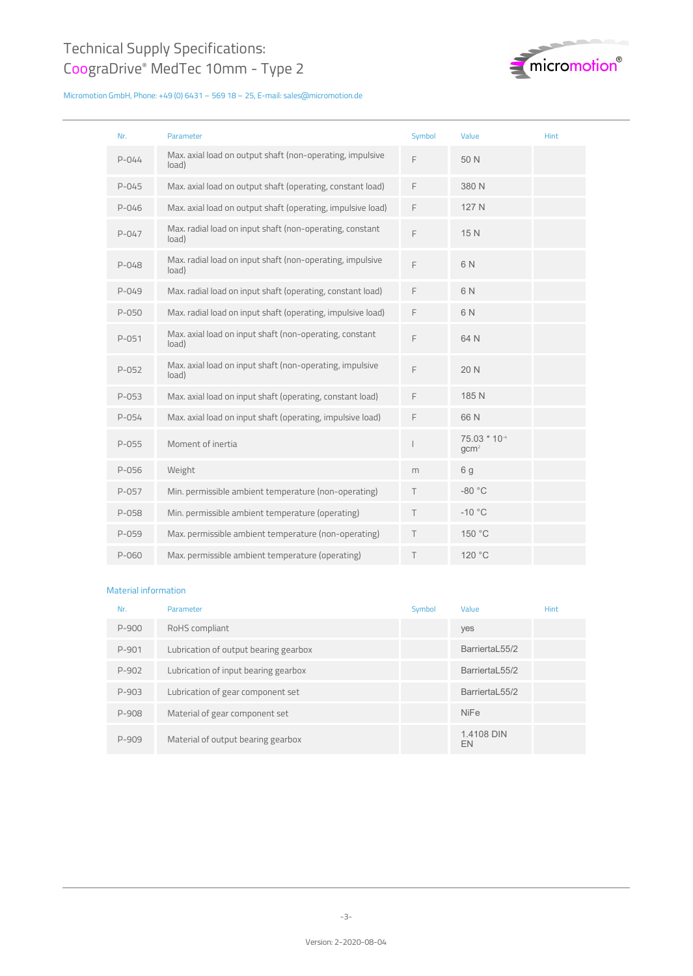

| Nr.       | Parameter                                                          | Symbol | Value                            | <b>Hint</b> |
|-----------|--------------------------------------------------------------------|--------|----------------------------------|-------------|
| $P - 044$ | Max. axial load on output shaft (non-operating, impulsive<br>load) | F      | 50 N                             |             |
| $P - 045$ | Max. axial load on output shaft (operating, constant load)         | F      | 380 N                            |             |
| $P - 046$ | Max. axial load on output shaft (operating, impulsive load)        | F      | 127 N                            |             |
| $P - 047$ | Max. radial load on input shaft (non-operating, constant<br>load)  | F      | 15 N                             |             |
| $P - 048$ | Max. radial load on input shaft (non-operating, impulsive<br>load) | F      | 6 N                              |             |
| $P - 049$ | Max. radial load on input shaft (operating, constant load)         | F      | 6 N                              |             |
| $P - 050$ | Max. radial load on input shaft (operating, impulsive load)        | F      | 6 N                              |             |
| $P - 051$ | Max. axial load on input shaft (non-operating, constant<br>load)   | F      | 64 N                             |             |
| $P - 052$ | Max. axial load on input shaft (non-operating, impulsive<br>load)  | F      | 20 N                             |             |
| $P - 053$ | Max. axial load on input shaft (operating, constant load)          | F      | 185 N                            |             |
| P-054     | Max. axial load on input shaft (operating, impulsive load)         | F      | 66N                              |             |
| $P-055$   | Moment of inertia                                                  |        | 75.03 * 10-4<br>gcm <sup>2</sup> |             |
| P-056     | Weight                                                             | m      | 6 <sub>q</sub>                   |             |
| $P - 057$ | Min. permissible ambient temperature (non-operating)               | $\top$ | $-80 °C$                         |             |
| $P - 058$ | Min. permissible ambient temperature (operating)                   | T.     | $-10$ °C                         |             |
| $P - 059$ | Max. permissible ambient temperature (non-operating)               | T      | 150 °C                           |             |
| P-060     | Max. permissible ambient temperature (operating)                   | Τ      | 120 °C                           |             |

#### Material information

| Nr.     | Parameter                             | Symbol | Value            | Hint |
|---------|---------------------------------------|--------|------------------|------|
| $P-900$ | RoHS compliant                        |        | yes              |      |
| P-901   | Lubrication of output bearing gearbox |        | BarriertaL55/2   |      |
| P-902   | Lubrication of input bearing gearbox  |        | BarriertaL55/2   |      |
| P-903   | Lubrication of gear component set     |        | BarriertaL55/2   |      |
| P-908   | Material of gear component set        |        | <b>NiFe</b>      |      |
| P-909   | Material of output bearing gearbox    |        | 1.4108 DIN<br>EN |      |